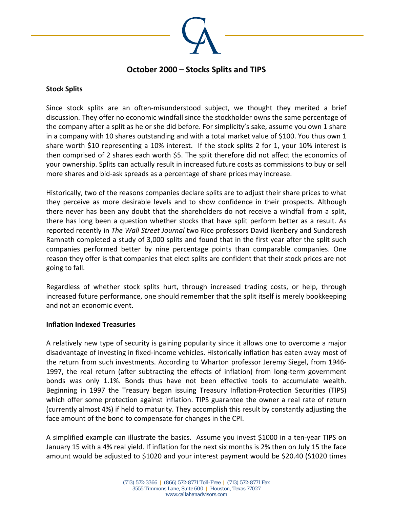

## **October 2000 – Stocks Splits and TIPS**

## **Stock Splits**

Since stock splits are an often-misunderstood subject, we thought they merited a brief discussion. They offer no economic windfall since the stockholder owns the same percentage of the company after a split as he or she did before. For simplicity's sake, assume you own 1 share in a company with 10 shares outstanding and with a total market value of \$100. You thus own 1 share worth \$10 representing a 10% interest. If the stock splits 2 for 1, your 10% interest is then comprised of 2 shares each worth \$5. The split therefore did not affect the economics of your ownership. Splits can actually result in increased future costs as commissions to buy or sell more shares and bid‐ask spreads as a percentage of share prices may increase.

Historically, two of the reasons companies declare splits are to adjust their share prices to what they perceive as more desirable levels and to show confidence in their prospects. Although there never has been any doubt that the shareholders do not receive a windfall from a split, there has long been a question whether stocks that have split perform better as a result. As reported recently in *The Wall Street Journal* two Rice professors David Ikenbery and Sundaresh Ramnath completed a study of 3,000 splits and found that in the first year after the split such companies performed better by nine percentage points than comparable companies. One reason they offer is that companies that elect splits are confident that their stock prices are not going to fall.

Regardless of whether stock splits hurt, through increased trading costs, or help, through increased future performance, one should remember that the split itself is merely bookkeeping and not an economic event.

## **Inflation Indexed Treasuries**

A relatively new type of security is gaining popularity since it allows one to overcome a major disadvantage of investing in fixed‐income vehicles. Historically inflation has eaten away most of the return from such investments. According to Wharton professor Jeremy Siegel, from 1946‐ 1997, the real return (after subtracting the effects of inflation) from long-term government bonds was only 1.1%. Bonds thus have not been effective tools to accumulate wealth. Beginning in 1997 the Treasury began issuing Treasury Inflation‐Protection Securities (TIPS) which offer some protection against inflation. TIPS guarantee the owner a real rate of return (currently almost 4%) if held to maturity. They accomplish this result by constantly adjusting the face amount of the bond to compensate for changes in the CPI.

A simplified example can illustrate the basics. Assume you invest \$1000 in a ten‐year TIPS on January 15 with a 4% real yield. If inflation for the next six months is 2% then on July 15 the face amount would be adjusted to \$1020 and your interest payment would be \$20.40 (\$1020 times